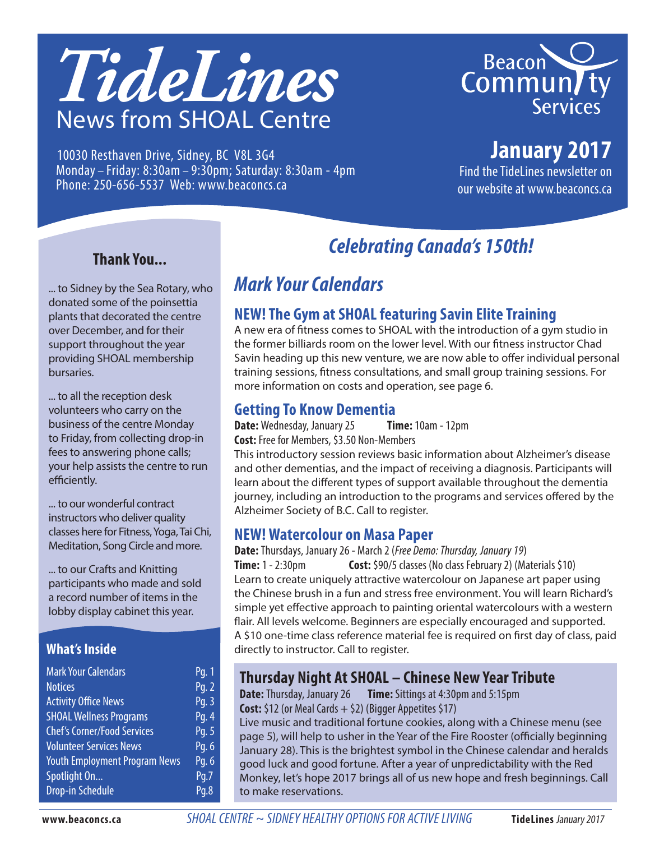



10030 Resthaven Drive, Sidney, BC V8L 3G4 Monday – Friday: 8:30am – 9:30pm; Saturday: 8:30am - 4pm Phone: 250-656-5537 Web: www.beaconcs.ca

## **January 2017**

Find the TideLines newsletter on our website at www.beaconcs.ca

#### **Thank You...**

... to Sidney by the Sea Rotary, who donated some of the poinsettia plants that decorated the centre over December, and for their support throughout the year providing SHOAL membership bursaries.

... to all the reception desk volunteers who carry on the business of the centre Monday to Friday, from collecting drop-in fees to answering phone calls; your help assists the centre to run efficiently.

... to our wonderful contract instructors who deliver quality classes here for Fitness, Yoga, Tai Chi, Meditation, Song Circle and more.

... to our Crafts and Knitting participants who made and sold a record number of items in the lobby display cabinet this year.

#### **What's Inside**

| <b>Mark Your Calendars</b>           | Pq. 1 |
|--------------------------------------|-------|
| <b>Notices</b>                       | Pq. 2 |
| <b>Activity Office News</b>          | Pg. 3 |
| <b>SHOAL Wellness Programs</b>       | Pg. 4 |
| <b>Chef's Corner/Food Services</b>   | Pg. 5 |
| <b>Volunteer Services News</b>       | Pg. 6 |
| <b>Youth Employment Program News</b> | Pg. 6 |
| Spotlight On                         | Pq.7  |
| <b>Drop-in Schedule</b>              | Pq.8  |

# *Celebrating Canada's 150th!*

## *Mark Your Calendars*

#### **NEW! The Gym at SHOAL featuring Savin Elite Training**

A new era of fitness comes to SHOAL with the introduction of a gym studio in the former billiards room on the lower level. With our fitness instructor Chad Savin heading up this new venture, we are now able to offer individual personal training sessions, fitness consultations, and small group training sessions. For more information on costs and operation, see page 6.

#### **Getting To Know Dementia**

**Date:** Wednesday, January 25 **Time:** 10am - 12pm **Cost:** Free for Members, \$3.50 Non-Members

This introductory session reviews basic information about Alzheimer's disease and other dementias, and the impact of receiving a diagnosis. Participants will learn about the different types of support available throughout the dementia journey, including an introduction to the programs and services offered by the Alzheimer Society of B.C. Call to register.

#### **NEW! Watercolour on Masa Paper**

**Date:** Thursdays, January 26 - March 2 (*Free Demo: Thursday, January 19*) **Time:** 1 - 2:30pm **Cost:** \$90/5 classes (No class February 2) (Materials \$10) Learn to create uniquely attractive watercolour on Japanese art paper using the Chinese brush in a fun and stress free environment. You will learn Richard's simple yet effective approach to painting oriental watercolours with a western flair. All levels welcome. Beginners are especially encouraged and supported. A \$10 one-time class reference material fee is required on first day of class, paid directly to instructor. Call to register.

#### **Thursday Night At SHOAL – Chinese New Year Tribute**

**Date:** Thursday, January 26 **Time:** Sittings at 4:30pm and 5:15pm **Cost:** \$12 (or Meal Cards + \$2) (Bigger Appetites \$17)

Live music and traditional fortune cookies, along with a Chinese menu (see page 5), will help to usher in the Year of the Fire Rooster (officially beginning January 28). This is the brightest symbol in the Chinese calendar and heralds good luck and good fortune. After a year of unpredictability with the Red Monkey, let's hope 2017 brings all of us new hope and fresh beginnings. Call to make reservations.

**www.beaconcs.ca** *SHOAL CENTRE ~ SIDNEY HEALTHY OPTIONS FOR ACTIVE LIVING* **TideLines** January 2017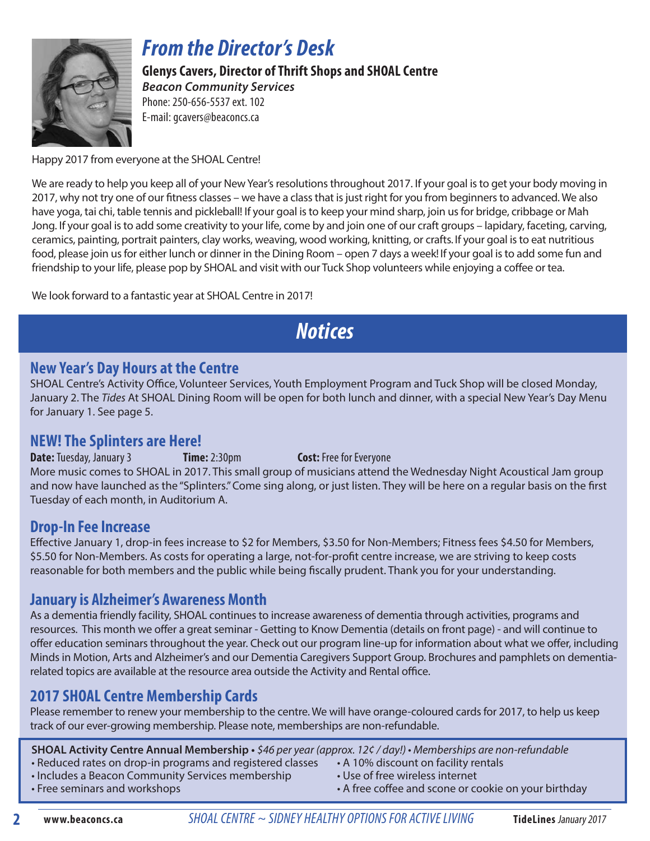

## *From the Director's Desk*

**Glenys Cavers, Director of Thrift Shops and SHOAL Centre**  *Beacon Community Services* Phone: 250-656-5537 ext. 102

E-mail: gcavers@beaconcs.ca

Happy 2017 from everyone at the SHOAL Centre!

We are ready to help you keep all of your New Year's resolutions throughout 2017. If your goal is to get your body moving in 2017, why not try one of our fitness classes – we have a class that is just right for you from beginners to advanced. We also have yoga, tai chi, table tennis and pickleball! If your goal is to keep your mind sharp, join us for bridge, cribbage or Mah Jong. If your goal is to add some creativity to your life, come by and join one of our craft groups – lapidary, faceting, carving, ceramics, painting, portrait painters, clay works, weaving, wood working, knitting, or crafts. If your goal is to eat nutritious food, please join us for either lunch or dinner in the Dining Room – open 7 days a week! If your goal is to add some fun and friendship to your life, please pop by SHOAL and visit with our Tuck Shop volunteers while enjoying a coffee or tea.

We look forward to a fantastic year at SHOAL Centre in 2017!

# *Notices*

#### **New Year's Day Hours at the Centre**

SHOAL Centre's Activity Office, Volunteer Services, Youth Employment Program and Tuck Shop will be closed Monday, January 2. The *Tides* At SHOAL Dining Room will be open for both lunch and dinner, with a special New Year's Day Menu for January 1. See page 5.

#### **NEW! The Splinters are Here!**

**Date:** Tuesday, January 3 **Time:** 2:30pm **Cost:** Free for Everyone More music comes to SHOAL in 2017. This small group of musicians attend the Wednesday Night Acoustical Jam group and now have launched as the "Splinters." Come sing along, or just listen. They will be here on a regular basis on the first Tuesday of each month, in Auditorium A.

#### **Drop-In Fee Increase**

Effective January 1, drop-in fees increase to \$2 for Members, \$3.50 for Non-Members; Fitness fees \$4.50 for Members, \$5.50 for Non-Members. As costs for operating a large, not-for-profit centre increase, we are striving to keep costs reasonable for both members and the public while being fiscally prudent. Thank you for your understanding.

#### **January is Alzheimer's Awareness Month**

As a dementia friendly facility, SHOAL continues to increase awareness of dementia through activities, programs and resources. This month we offer a great seminar - Getting to Know Dementia (details on front page) - and will continue to offer education seminars throughout the year. Check out our program line-up for information about what we offer, including Minds in Motion, Arts and Alzheimer's and our Dementia Caregivers Support Group. Brochures and pamphlets on dementiarelated topics are available at the resource area outside the Activity and Rental office.

#### **2017 SHOAL Centre Membership Cards**

Please remember to renew your membership to the centre. We will have orange-coloured cards for 2017, to help us keep track of our ever-growing membership. Please note, memberships are non-refundable.

**SHOAL Activity Centre Annual Membership •** \$46 per year (approx. 12¢ / day!) • Memberships are non-refundable

- Reduced rates on drop-in programs and registered classes A 10% discount on facility rentals
- Includes a Beacon Community Services membership Use of free wireless internet
- 
- 
- 
- Free seminars and workshops  **A** free coffee and scone or cookie on your birthday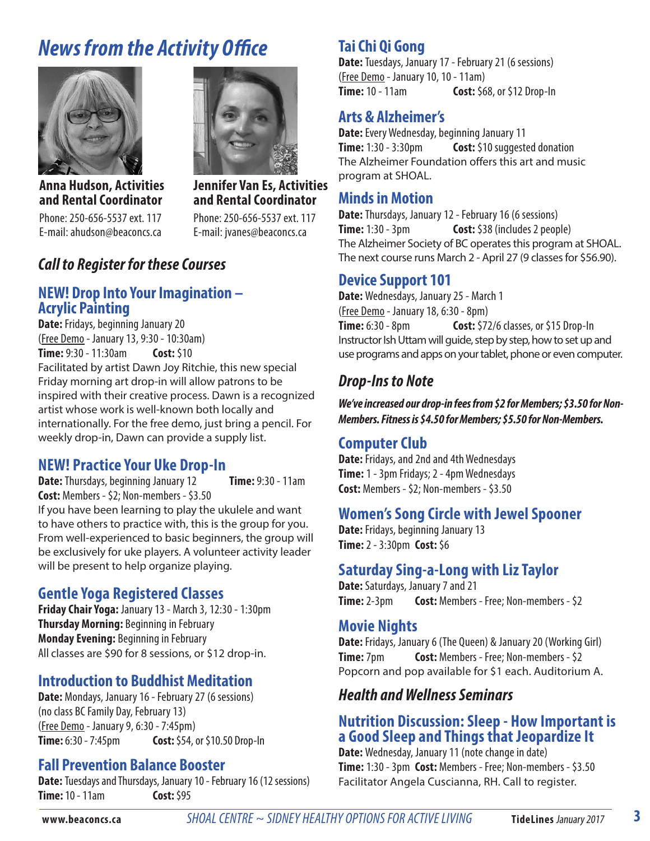# *News from the Activity Office*



**Anna Hudson, Activities and Rental Coordinator**

Phone: 250-656-5537 ext. 117 E-mail: ahudson@beaconcs.ca



**Jennifer Van Es, Activities and Rental Coordinator**

Phone: 250-656-5537 ext. 117 E-mail: jvanes@beaconcs.ca

#### *Call to Register for these Courses*

#### **NEW! Drop Into Your Imagination – Acrylic Painting**

**Date:** Fridays, beginning January 20 (Free Demo - January 13, 9:30 - 10:30am) **Time:** 9:30 - 11:30am **Cost:** \$10 Facilitated by artist Dawn Joy Ritchie, this new special Friday morning art drop-in will allow patrons to be inspired with their creative process. Dawn is a recognized artist whose work is well-known both locally and internationally. For the free demo, just bring a pencil. For weekly drop-in, Dawn can provide a supply list.

#### **NEW! Practice Your Uke Drop-In**

**Date:** Thursdays, beginning January 12 **Time:** 9:30 - 11am **Cost:** Members - \$2; Non-members - \$3.50 If you have been learning to play the ukulele and want to have others to practice with, this is the group for you. From well-experienced to basic beginners, the group will be exclusively for uke players. A volunteer activity leader will be present to help organize playing.

#### **Gentle Yoga Registered Classes**

**Friday Chair Yoga:** January 13 - March 3, 12:30 - 1:30pm **Thursday Morning:** Beginning in February **Monday Evening:** Beginning in February All classes are \$90 for 8 sessions, or \$12 drop-in.

#### **Introduction to Buddhist Meditation**

**Date:** Mondays, January 16 - February 27 (6 sessions) (no class BC Family Day, February 13) (Free Demo - January 9, 6:30 - 7:45pm) **Time:** 6:30 - 7:45pm **Cost:** \$54, or \$10.50 Drop-In

#### **Fall Prevention Balance Booster**

**Date:** Tuesdays and Thursdays, January 10 - February 16 (12 sessions) **Time:** 10 - 11am **Cost:** \$95

#### **Tai Chi Qi Gong**

**Date:** Tuesdays, January 17 - February 21 (6 sessions) (Free Demo - January 10, 10 - 11am) **Time:** 10 - 11am **Cost:** \$68, or \$12 Drop-In

#### **Arts & Alzheimer's**

**Date:** Every Wednesday, beginning January 11 **Time:** 1:30 - 3:30pm **Cost:** \$10 suggested donation The Alzheimer Foundation offers this art and music program at SHOAL.

#### **Minds in Motion**

**Date:** Thursdays, January 12 - February 16 (6 sessions) **Time:** 1:30 - 3pm **Cost:** \$38 (includes 2 people) The Alzheimer Society of BC operates this program at SHOAL. The next course runs March 2 - April 27 (9 classes for \$56.90).

#### **Device Support 101**

**Date:** Wednesdays, January 25 - March 1 (Free Demo - January 18, 6:30 - 8pm) **Time:** 6:30 - 8pm **Cost:** \$72/6 classes, or \$15 Drop-In Instructor Ish Uttam will guide, step by step, how to set up and use programs and apps on your tablet, phone or even computer.

#### *Drop-Ins to Note*

*We've increased our drop-in fees from \$2 for Members; \$3.50 for Non-Members. Fitness is \$4.50 for Members; \$5.50 for Non-Members.* 

#### **Computer Club**

**Date:** Fridays, and 2nd and 4th Wednesdays **Time:** 1 - 3pm Fridays; 2 - 4pm Wednesdays **Cost:** Members - \$2; Non-members - \$3.50

#### **Women's Song Circle with Jewel Spooner**

**Date:** Fridays, beginning January 13 **Time:** 2 - 3:30pm **Cost:** \$6

#### **Saturday Sing-a-Long with Liz Taylor**

**Date:** Saturdays, January 7 and 21 **Time:** 2-3pm **Cost:** Members - Free; Non-members - \$2

#### **Movie Nights**

**Date:** Fridays, January 6 (The Queen) & January 20 (Working Girl) **Time:** 7pm **Cost:** Members - Free; Non-members - \$2 Popcorn and pop available for \$1 each. Auditorium A.

#### *Health and Wellness Seminars*

#### **Nutrition Discussion: Sleep - How Important is a Good Sleep and Things that Jeopardize It**

**Date:** Wednesday, January 11 (note change in date) **Time:** 1:30 - 3pm **Cost:** Members - Free; Non-members - \$3.50 Facilitator Angela Cuscianna, RH. Call to register.

**3**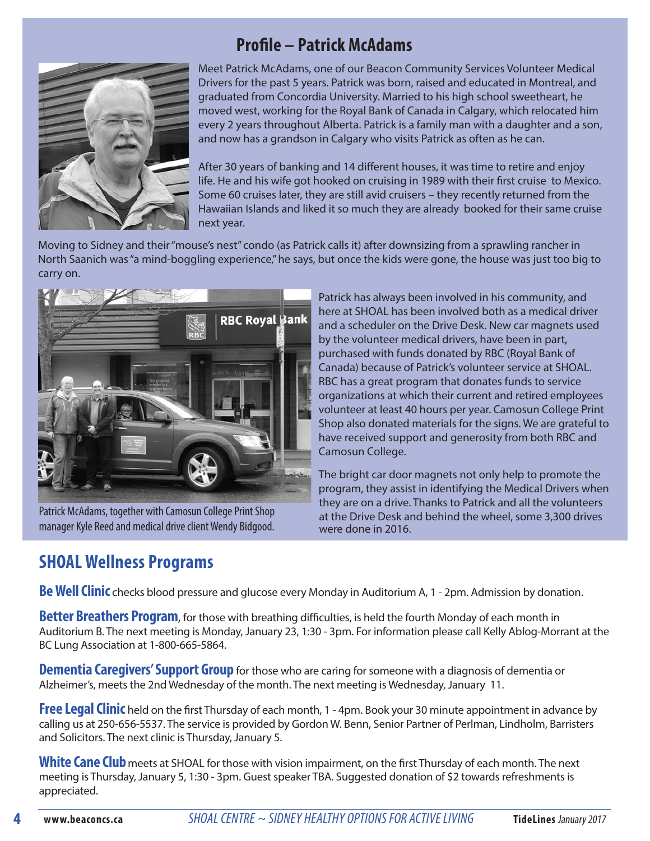

## **Profile – Patrick McAdams**

Meet Patrick McAdams, one of our Beacon Community Services Volunteer Medical Drivers for the past 5 years. Patrick was born, raised and educated in Montreal, and graduated from Concordia University. Married to his high school sweetheart, he moved west, working for the Royal Bank of Canada in Calgary, which relocated him every 2 years throughout Alberta. Patrick is a family man with a daughter and a son, and now has a grandson in Calgary who visits Patrick as often as he can.

After 30 years of banking and 14 different houses, it was time to retire and enjoy life. He and his wife got hooked on cruising in 1989 with their first cruise to Mexico. Some 60 cruises later, they are still avid cruisers – they recently returned from the Hawaiian Islands and liked it so much they are already booked for their same cruise next year.

Moving to Sidney and their "mouse's nest" condo (as Patrick calls it) after downsizing from a sprawling rancher in North Saanich was "a mind-boggling experience," he says, but once the kids were gone, the house was just too big to carry on.



manager Kyle Reed and medical drive client Wendy Bidgood. were done in 2016. Patrick McAdams, together with Camosun College Print Shop

Patrick has always been involved in his community, and here at SHOAL has been involved both as a medical driver and a scheduler on the Drive Desk. New car magnets used by the volunteer medical drivers, have been in part, purchased with funds donated by RBC (Royal Bank of Canada) because of Patrick's volunteer service at SHOAL. RBC has a great program that donates funds to service organizations at which their current and retired employees volunteer at least 40 hours per year. Camosun College Print Shop also donated materials for the signs. We are grateful to have received support and generosity from both RBC and Camosun College.

The bright car door magnets not only help to promote the program, they assist in identifying the Medical Drivers when they are on a drive. Thanks to Patrick and all the volunteers at the Drive Desk and behind the wheel, some 3,300 drives

## **SHOAL Wellness Programs**

**Be Well Clinic** checks blood pressure and glucose every Monday in Auditorium A, 1 - 2pm. Admission by donation.

**Better Breathers Program**, for those with breathing difficulties, is held the fourth Monday of each month in Auditorium B. The next meeting is Monday, January 23, 1:30 - 3pm. For information please call Kelly Ablog-Morrant at the BC Lung Association at 1-800-665-5864.

**Dementia Caregivers' Support Group** for those who are caring for someone with a diagnosis of dementia or Alzheimer's, meets the 2nd Wednesday of the month. The next meeting is Wednesday, January 11.

**Free Legal Clinic** held on the first Thursday of each month, 1 - 4pm. Book your 30 minute appointment in advance by calling us at 250-656-5537. The service is provided by Gordon W. Benn, Senior Partner of Perlman, Lindholm, Barristers and Solicitors. The next clinic is Thursday, January 5.

**White Cane Club**meets at SHOAL for those with vision impairment, on the first Thursday of each month. The next meeting is Thursday, January 5, 1:30 - 3pm. Guest speaker TBA. Suggested donation of \$2 towards refreshments is appreciated.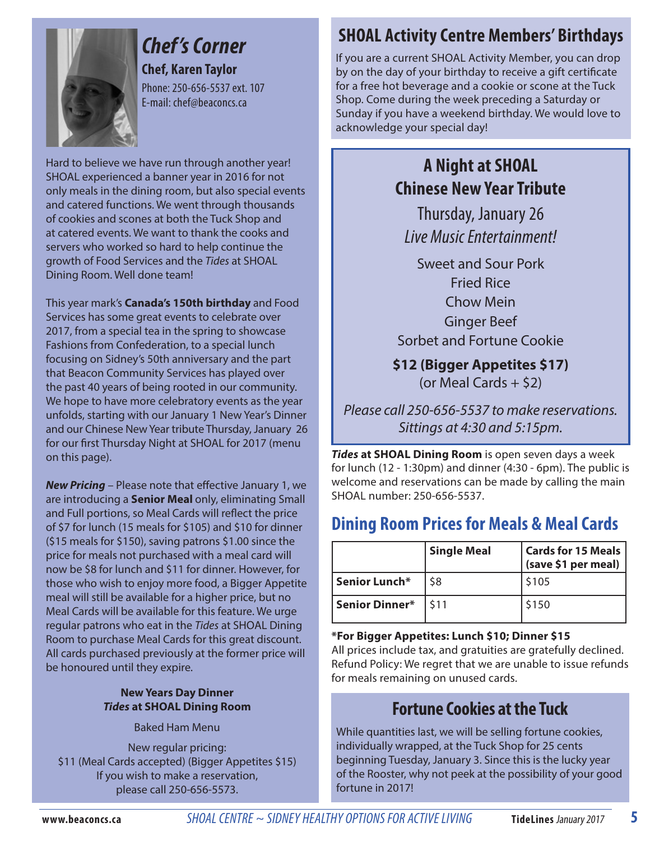

# *Chef 's Corner*

**Chef, Karen Taylor** Phone: 250-656-5537 ext. 107 E-mail: chef@beaconcs.ca

Hard to believe we have run through another year! SHOAL experienced a banner year in 2016 for not only meals in the dining room, but also special events and catered functions. We went through thousands of cookies and scones at both the Tuck Shop and at catered events. We want to thank the cooks and servers who worked so hard to help continue the growth of Food Services and the *Tides* at SHOAL Dining Room. Well done team!

This year mark's **Canada's 150th birthday** and Food Services has some great events to celebrate over 2017, from a special tea in the spring to showcase Fashions from Confederation, to a special lunch focusing on Sidney's 50th anniversary and the part that Beacon Community Services has played over the past 40 years of being rooted in our community. We hope to have more celebratory events as the year unfolds, starting with our January 1 New Year's Dinner and our Chinese New Year tribute Thursday, January 26 for our first Thursday Night at SHOAL for 2017 (menu on this page).

*New Pricing* – Please note that effective January 1, we are introducing a **Senior Meal** only, eliminating Small and Full portions, so Meal Cards will reflect the price of \$7 for lunch (15 meals for \$105) and \$10 for dinner (\$15 meals for \$150), saving patrons \$1.00 since the price for meals not purchased with a meal card will now be \$8 for lunch and \$11 for dinner. However, for those who wish to enjoy more food, a Bigger Appetite meal will still be available for a higher price, but no Meal Cards will be available for this feature. We urge regular patrons who eat in the *Tides* at SHOAL Dining Room to purchase Meal Cards for this great discount. All cards purchased previously at the former price will be honoured until they expire.

#### **New Years Day Dinner** *Tides* **at SHOAL Dining Room**

Baked Ham Menu

New regular pricing: \$11 (Meal Cards accepted) (Bigger Appetites \$15) If you wish to make a reservation, please call 250-656-5573.

## **SHOAL Activity Centre Members' Birthdays**

If you are a current SHOAL Activity Member, you can drop by on the day of your birthday to receive a gift certificate for a free hot beverage and a cookie or scone at the Tuck Shop. Come during the week preceding a Saturday or Sunday if you have a weekend birthday. We would love to acknowledge your special day!

## **A Night at SHOAL Chinese New Year Tribute**

Thursday, January 26 *Live Music Entertainment!*

Sweet and Sour Pork Fried Rice Chow Mein Ginger Beef Sorbet and Fortune Cookie

**\$12 (Bigger Appetites \$17)** (or Meal Cards  $+$  \$2)

Please call 250-656-5537 to make reservations. Sittings at 4:30 and 5:15pm.

*Tides* **at SHOAL Dining Room** is open seven days a week for lunch (12 - 1:30pm) and dinner (4:30 - 6pm). The public is welcome and reservations can be made by calling the main SHOAL number: 250-656-5537.

## **Dining Room Prices for Meals & Meal Cards**

|                | <b>Single Meal</b> | <b>Cards for 15 Meals</b><br>(save \$1 per meal) |
|----------------|--------------------|--------------------------------------------------|
| Senior Lunch*  | \$8                | \$105                                            |
| Senior Dinner* | \$11               | \$150                                            |

**\*For Bigger Appetites: Lunch \$10; Dinner \$15**

All prices include tax, and gratuities are gratefully declined. Refund Policy: We regret that we are unable to issue refunds for meals remaining on unused cards.

## **Fortune Cookies at the Tuck**

While quantities last, we will be selling fortune cookies, individually wrapped, at the Tuck Shop for 25 cents beginning Tuesday, January 3. Since this is the lucky year of the Rooster, why not peek at the possibility of your good fortune in 2017!

**www.beaconcs.ca** *SHOAL CENTRE ~ SIDNEY HEALTHY OPTIONS FOR ACTIVE LIVING* **TideLines** January 2017

**5**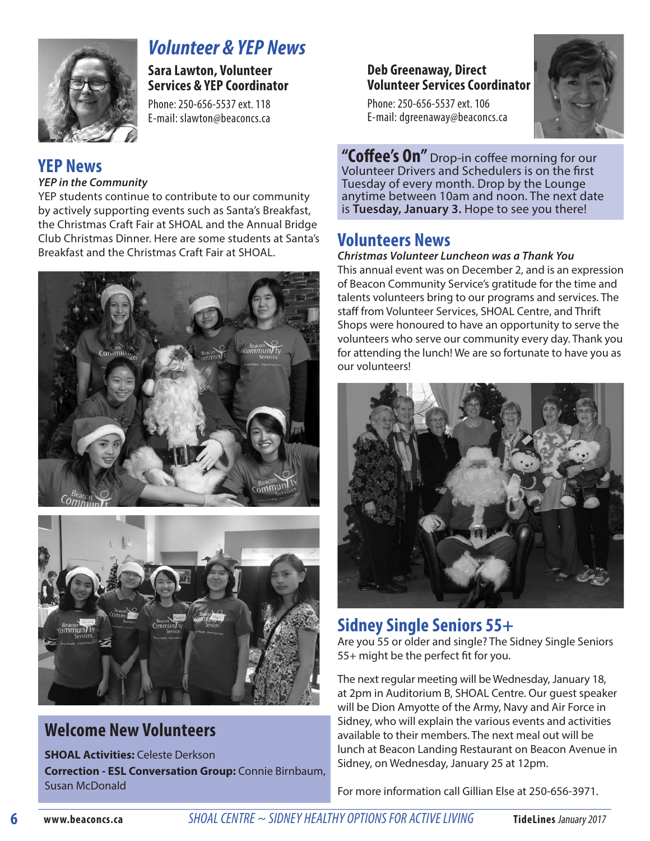

## *Volunteer & YEP News*

**Sara Lawton, Volunteer Services & YEP Coordinator** 

Phone: 250-656-5537 ext. 118 E-mail: slawton@beaconcs.ca

# **YEP News**

#### *YEP in the Community*

YEP students continue to contribute to our community by actively supporting events such as Santa's Breakfast, the Christmas Craft Fair at SHOAL and the Annual Bridge Club Christmas Dinner. Here are some students at Santa's Breakfast and the Christmas Craft Fair at SHOAL.





## **Welcome New Volunteers**

**SHOAL Activities:** Celeste Derkson **Correction - ESL Conversation Group:** Connie Birnbaum, Susan McDonald

#### **Deb Greenaway, Direct Volunteer Services Coordinator**

Phone: 250-656-5537 ext. 106 E-mail: dgreenaway@beaconcs.ca



**"Coffee's On"** Drop-in coffee morning for our Volunteer Drivers and Schedulers is on the first Tuesday of every month. Drop by the Lounge anytime between 10am and noon. The next date is **Tuesday, January 3.** Hope to see you there!

### **Volunteers News**

*Christmas Volunteer Luncheon was a Thank You* This annual event was on December 2, and is an expression of Beacon Community Service's gratitude for the time and talents volunteers bring to our programs and services. The staff from Volunteer Services, SHOAL Centre, and Thrift Shops were honoured to have an opportunity to serve the volunteers who serve our community every day. Thank you for attending the lunch! We are so fortunate to have you as our volunteers!



## **Sidney Single Seniors 55+**

Are you 55 or older and single? The Sidney Single Seniors 55+ might be the perfect fit for you.

The next regular meeting will be Wednesday, January 18, at 2pm in Auditorium B, SHOAL Centre. Our guest speaker will be Dion Amyotte of the Army, Navy and Air Force in Sidney, who will explain the various events and activities available to their members. The next meal out will be lunch at Beacon Landing Restaurant on Beacon Avenue in Sidney, on Wednesday, January 25 at 12pm.

For more information call Gillian Else at 250-656-3971.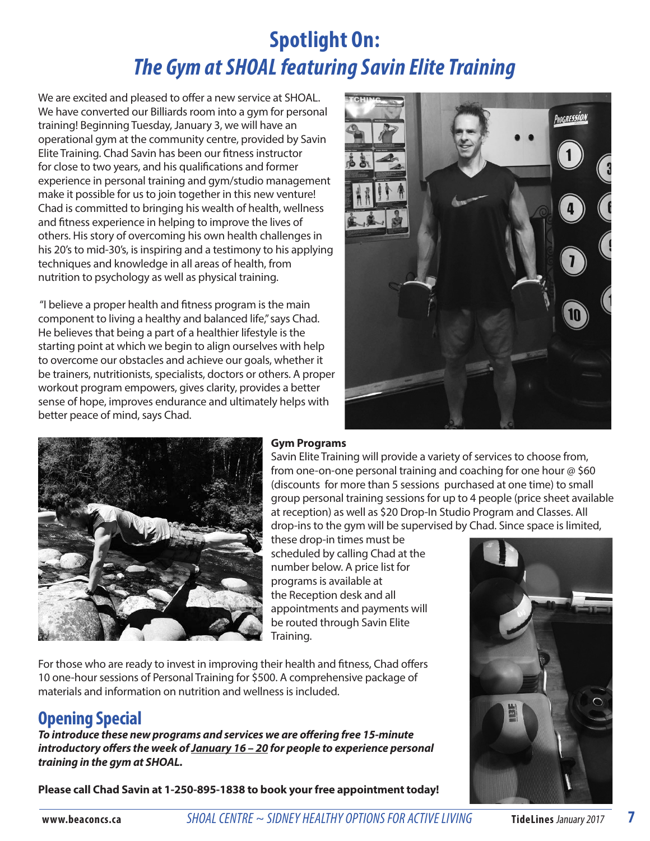# **Spotlight On:** *The Gym at SHOAL featuring Savin Elite Training*

We are excited and pleased to offer a new service at SHOAL. We have converted our Billiards room into a gym for personal training! Beginning Tuesday, January 3, we will have an operational gym at the community centre, provided by Savin Elite Training. Chad Savin has been our fitness instructor for close to two years, and his qualifications and former experience in personal training and gym/studio management make it possible for us to join together in this new venture! Chad is committed to bringing his wealth of health, wellness and fitness experience in helping to improve the lives of others. His story of overcoming his own health challenges in his 20's to mid-30's, is inspiring and a testimony to his applying techniques and knowledge in all areas of health, from nutrition to psychology as well as physical training.

 "I believe a proper health and fitness program is the main component to living a healthy and balanced life," says Chad. He believes that being a part of a healthier lifestyle is the starting point at which we begin to align ourselves with help to overcome our obstacles and achieve our goals, whether it be trainers, nutritionists, specialists, doctors or others. A proper workout program empowers, gives clarity, provides a better sense of hope, improves endurance and ultimately helps with better peace of mind, says Chad.





#### **Gym Programs**

Savin Elite Training will provide a variety of services to choose from, from one-on-one personal training and coaching for one hour @ \$60 (discounts for more than 5 sessions purchased at one time) to small group personal training sessions for up to 4 people (price sheet available at reception) as well as \$20 Drop-In Studio Program and Classes. All drop-ins to the gym will be supervised by Chad. Since space is limited,

these drop-in times must be scheduled by calling Chad at the number below. A price list for programs is available at the Reception desk and all appointments and payments will be routed through Savin Elite Training.

For those who are ready to invest in improving their health and fitness, Chad offers 10 one-hour sessions of Personal Training for \$500. A comprehensive package of materials and information on nutrition and wellness is included.

## **Opening Special**

*To introduce these new programs and services we are offering free 15-minute introductory offers the week of January 16 – 20 for people to experience personal training in the gym at SHOAL.*

**Please call Chad Savin at 1-250-895-1838 to book your free appointment today!**



**7**